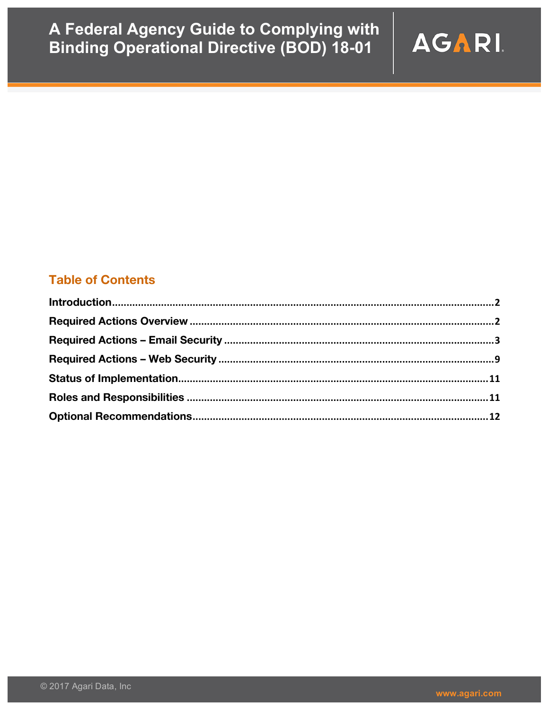

### **Table of Contents**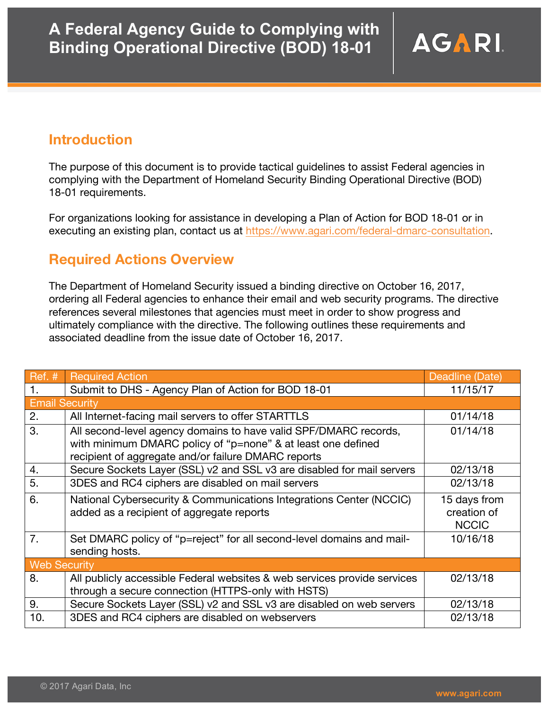## **Introduction**

The purpose of this document is to provide tactical guidelines to assist Federal agencies in complying with the Department of Homeland Security Binding Operational Directive (BOD) 18-01 requirements.

For organizations looking for assistance in developing a Plan of Action for BOD 18-01 or in executing an existing plan, contact us at https://www.agari.com/federal-dmarc-consultation.

## **Required Actions Overview**

The Department of Homeland Security issued a binding directive on October 16, 2017, ordering all Federal agencies to enhance their email and web security programs. The directive references several milestones that agencies must meet in order to show progress and ultimately compliance with the directive. The following outlines these requirements and associated deadline from the issue date of October 16, 2017.

| $Ref.$ #            | <b>Required Action</b>                                                                                                                                                                  | Deadline (Date)                             |  |  |  |  |
|---------------------|-----------------------------------------------------------------------------------------------------------------------------------------------------------------------------------------|---------------------------------------------|--|--|--|--|
| 1.                  | Submit to DHS - Agency Plan of Action for BOD 18-01                                                                                                                                     | 11/15/17                                    |  |  |  |  |
|                     | <b>Email Security</b>                                                                                                                                                                   |                                             |  |  |  |  |
| 2.                  | All Internet-facing mail servers to offer STARTTLS                                                                                                                                      | 01/14/18                                    |  |  |  |  |
| 3.                  | All second-level agency domains to have valid SPF/DMARC records,<br>with minimum DMARC policy of "p=none" & at least one defined<br>recipient of aggregate and/or failure DMARC reports | 01/14/18                                    |  |  |  |  |
| $\overline{4}$ .    | Secure Sockets Layer (SSL) v2 and SSL v3 are disabled for mail servers                                                                                                                  | 02/13/18                                    |  |  |  |  |
| 5.                  | 3DES and RC4 ciphers are disabled on mail servers                                                                                                                                       | 02/13/18                                    |  |  |  |  |
| 6.                  | National Cybersecurity & Communications Integrations Center (NCCIC)<br>added as a recipient of aggregate reports                                                                        | 15 days from<br>creation of<br><b>NCCIC</b> |  |  |  |  |
| $\overline{7}$ .    | Set DMARC policy of "p=reject" for all second-level domains and mail-<br>sending hosts.                                                                                                 | 10/16/18                                    |  |  |  |  |
| <b>Web Security</b> |                                                                                                                                                                                         |                                             |  |  |  |  |
| 8.                  | All publicly accessible Federal websites & web services provide services<br>through a secure connection (HTTPS-only with HSTS)                                                          | 02/13/18                                    |  |  |  |  |
| 9.                  | Secure Sockets Layer (SSL) v2 and SSL v3 are disabled on web servers                                                                                                                    | 02/13/18                                    |  |  |  |  |
| 10.                 | 3DES and RC4 ciphers are disabled on webservers                                                                                                                                         | 02/13/18                                    |  |  |  |  |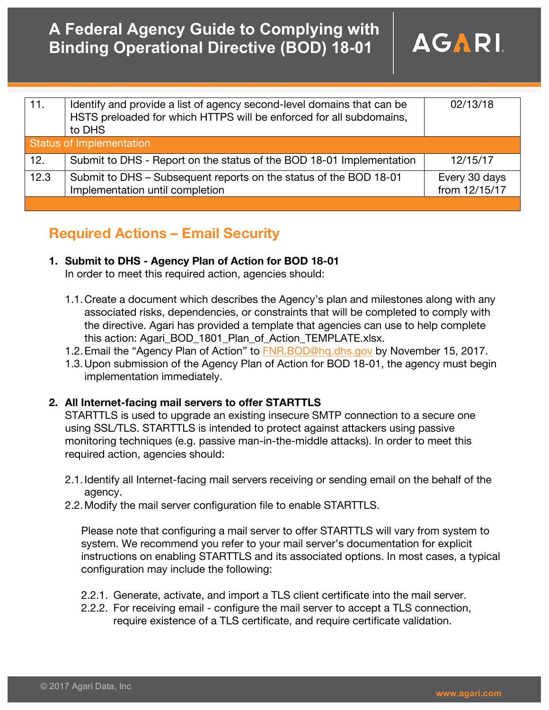| 11.                      | Identify and provide a list of agency second-level domains that can be<br>HSTS preloaded for which HTTPS will be enforced for all subdomains,<br>to DHS | 02/13/18                       |  |  |
|--------------------------|---------------------------------------------------------------------------------------------------------------------------------------------------------|--------------------------------|--|--|
| Status of Implementation |                                                                                                                                                         |                                |  |  |
| 12.                      | Submit to DHS - Report on the status of the BOD 18-01 Implementation                                                                                    | 12/15/17                       |  |  |
| 12.3                     | Submit to DHS – Subsequent reports on the status of the BOD 18-01<br>Implementation until completion                                                    | Every 30 days<br>from 12/15/17 |  |  |
|                          |                                                                                                                                                         |                                |  |  |

## **Required Actions – Email Security**

### **1. Submit to DHS - Agency Plan of Action for BOD 18-01**

In order to meet this required action, agencies should:

- 1.1.Create a document which describes the Agency's plan and milestones along with any associated risks, dependencies, or constraints that will be completed to comply with the directive. Agari has provided a template that agencies can use to help complete this action: Agari\_BOD\_1801\_Plan\_of\_Action\_TEMPLATE.xlsx.
- 1.2. Email the "Agency Plan of Action" to FNR. BOD@hg.dhs.gov by November 15, 2017.
- 1.3.Upon submission of the Agency Plan of Action for BOD 18-01, the agency must begin implementation immediately.

### **2. All Internet-facing mail servers to offer STARTTLS**

STARTTLS is used to upgrade an existing insecure SMTP connection to a secure one using SSL/TLS. STARTTLS is intended to protect against attackers using passive monitoring techniques (e.g. passive man-in-the-middle attacks). In order to meet this required action, agencies should:

- 2.1.Identify all Internet-facing mail servers receiving or sending email on the behalf of the agency.
- 2.2.Modify the mail server configuration file to enable STARTTLS.

Please note that configuring a mail server to offer STARTTLS will vary from system to system. We recommend you refer to your mail server's documentation for explicit instructions on enabling STARTTLS and its associated options. In most cases, a typical configuration may include the following:

- 2.2.1. Generate, activate, and import a TLS client certificate into the mail server.
- 2.2.2. For receiving email configure the mail server to accept a TLS connection, require existence of a TLS certificate, and require certificate validation.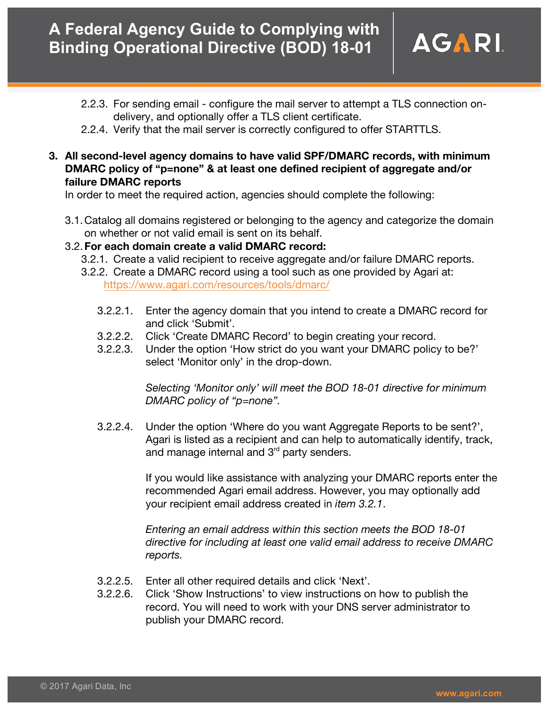- 2.2.3. For sending email configure the mail server to attempt a TLS connection ondelivery, and optionally offer a TLS client certificate.
- 2.2.4. Verify that the mail server is correctly configured to offer STARTTLS.
- **3. All second-level agency domains to have valid SPF/DMARC records, with minimum DMARC policy of "p=none" & at least one defined recipient of aggregate and/or failure DMARC reports**

In order to meet the required action, agencies should complete the following:

3.1.Catalog all domains registered or belonging to the agency and categorize the domain on whether or not valid email is sent on its behalf.

#### 3.2.**For each domain create a valid DMARC record:**

- 3.2.1. Create a valid recipient to receive aggregate and/or failure DMARC reports.
- 3.2.2. Create a DMARC record using a tool such as one provided by Agari at: https://www.agari.com/resources/tools/dmarc/
	- 3.2.2.1. Enter the agency domain that you intend to create a DMARC record for and click 'Submit'.
	- 3.2.2.2. Click 'Create DMARC Record' to begin creating your record.
	- 3.2.2.3. Under the option 'How strict do you want your DMARC policy to be?' select 'Monitor only' in the drop-down.

*Selecting 'Monitor only' will meet the BOD 18-01 directive for minimum DMARC policy of "p=none".*

3.2.2.4. Under the option 'Where do you want Aggregate Reports to be sent?', Agari is listed as a recipient and can help to automatically identify, track, and manage internal and  $3<sup>rd</sup>$  party senders.

> If you would like assistance with analyzing your DMARC reports enter the recommended Agari email address. However, you may optionally add your recipient email address created in *item 3.2.1*.

*Entering an email address within this section meets the BOD 18-01 directive for including at least one valid email address to receive DMARC reports.*

- 3.2.2.5. Enter all other required details and click 'Next'.
- 3.2.2.6. Click 'Show Instructions' to view instructions on how to publish the record. You will need to work with your DNS server administrator to publish your DMARC record.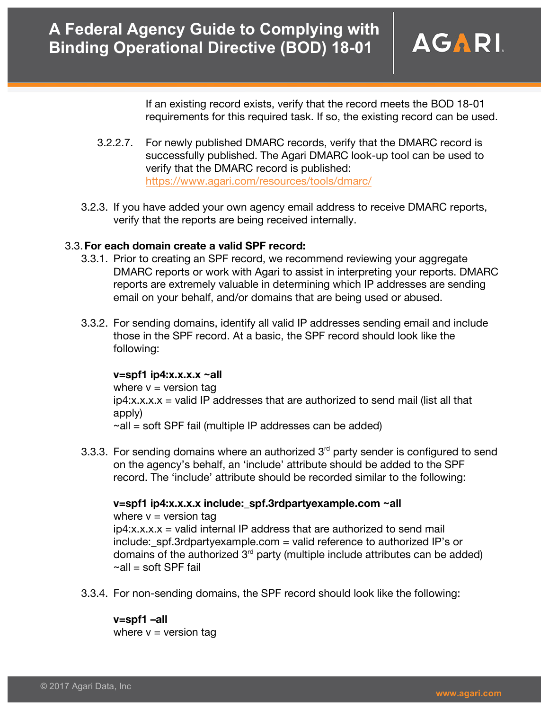If an existing record exists, verify that the record meets the BOD 18-01 requirements for this required task. If so, the existing record can be used.

- 3.2.2.7. For newly published DMARC records, verify that the DMARC record is successfully published. The Agari DMARC look-up tool can be used to verify that the DMARC record is published: https://www.agari.com/resources/tools/dmarc/
- 3.2.3. If you have added your own agency email address to receive DMARC reports, verify that the reports are being received internally.

#### 3.3.**For each domain create a valid SPF record:**

- 3.3.1. Prior to creating an SPF record, we recommend reviewing your aggregate DMARC reports or work with Agari to assist in interpreting your reports. DMARC reports are extremely valuable in determining which IP addresses are sending email on your behalf, and/or domains that are being used or abused.
- 3.3.2. For sending domains, identify all valid IP addresses sending email and include those in the SPF record. At a basic, the SPF record should look like the following:

#### **v=spf1 ip4:x.x.x.x ~all**

where  $v =$  version tag  $ip4:x.x.x =$  valid IP addresses that are authorized to send mail (list all that apply)  $\sim$ all = soft SPF fail (multiple IP addresses can be added)

3.3.3. For sending domains where an authorized  $3<sup>rd</sup>$  party sender is configured to send on the agency's behalf, an 'include' attribute should be added to the SPF record. The 'include' attribute should be recorded similar to the following:

### **v=spf1 ip4:x.x.x.x include:\_spf.3rdpartyexample.com ~all**

where  $v =$  version tag  $ip4:x.x.x = valid internal IP address that are authorized to send mail$ include:\_spf.3rdpartyexample.com = valid reference to authorized IP's or domains of the authorized  $3<sup>rd</sup>$  party (multiple include attributes can be added)  $\sim$ all = soft SPF fail

3.3.4. For non-sending domains, the SPF record should look like the following:

### **v=spf1 –all**

where  $v =$  version tag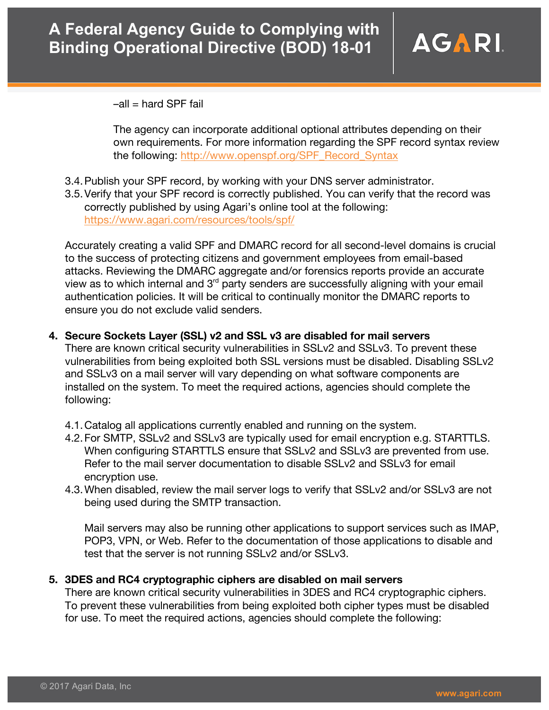

 $-all = hard SPF fail$ 

The agency can incorporate additional optional attributes depending on their own requirements. For more information regarding the SPF record syntax review the following: http://www.openspf.org/SPF\_Record\_Syntax

- 3.4.Publish your SPF record, by working with your DNS server administrator.
- 3.5.Verify that your SPF record is correctly published. You can verify that the record was correctly published by using Agari's online tool at the following: https://www.agari.com/resources/tools/spf/

Accurately creating a valid SPF and DMARC record for all second-level domains is crucial to the success of protecting citizens and government employees from email-based attacks. Reviewing the DMARC aggregate and/or forensics reports provide an accurate view as to which internal and 3<sup>rd</sup> party senders are successfully aligning with your email authentication policies. It will be critical to continually monitor the DMARC reports to ensure you do not exclude valid senders.

**4. Secure Sockets Layer (SSL) v2 and SSL v3 are disabled for mail servers** 

There are known critical security vulnerabilities in SSLv2 and SSLv3. To prevent these vulnerabilities from being exploited both SSL versions must be disabled. Disabling SSLv2 and SSLv3 on a mail server will vary depending on what software components are installed on the system. To meet the required actions, agencies should complete the following:

- 4.1.Catalog all applications currently enabled and running on the system.
- 4.2.For SMTP, SSLv2 and SSLv3 are typically used for email encryption e.g. STARTTLS. When configuring STARTTLS ensure that SSLv2 and SSLv3 are prevented from use. Refer to the mail server documentation to disable SSLv2 and SSLv3 for email encryption use.
- 4.3.When disabled, review the mail server logs to verify that SSLv2 and/or SSLv3 are not being used during the SMTP transaction.

Mail servers may also be running other applications to support services such as IMAP, POP3, VPN, or Web. Refer to the documentation of those applications to disable and test that the server is not running SSLv2 and/or SSLv3.

#### **5. 3DES and RC4 cryptographic ciphers are disabled on mail servers**

There are known critical security vulnerabilities in 3DES and RC4 cryptographic ciphers. To prevent these vulnerabilities from being exploited both cipher types must be disabled for use. To meet the required actions, agencies should complete the following: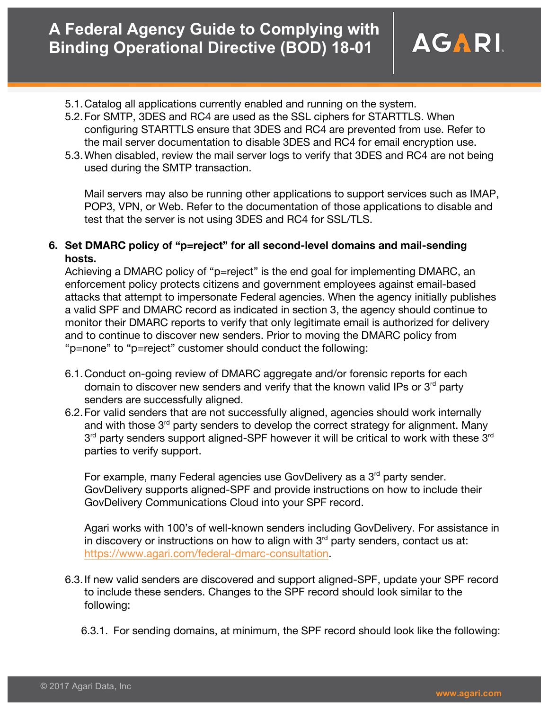- 5.1.Catalog all applications currently enabled and running on the system.
- 5.2.For SMTP, 3DES and RC4 are used as the SSL ciphers for STARTTLS. When configuring STARTTLS ensure that 3DES and RC4 are prevented from use. Refer to the mail server documentation to disable 3DES and RC4 for email encryption use.
- 5.3.When disabled, review the mail server logs to verify that 3DES and RC4 are not being used during the SMTP transaction.

Mail servers may also be running other applications to support services such as IMAP, POP3, VPN, or Web. Refer to the documentation of those applications to disable and test that the server is not using 3DES and RC4 for SSL/TLS.

**6. Set DMARC policy of "p=reject" for all second-level domains and mail-sending hosts.**

Achieving a DMARC policy of "p=reject" is the end goal for implementing DMARC, an enforcement policy protects citizens and government employees against email-based attacks that attempt to impersonate Federal agencies. When the agency initially publishes a valid SPF and DMARC record as indicated in section 3, the agency should continue to monitor their DMARC reports to verify that only legitimate email is authorized for delivery and to continue to discover new senders. Prior to moving the DMARC policy from "p=none" to "p=reject" customer should conduct the following:

- 6.1.Conduct on-going review of DMARC aggregate and/or forensic reports for each domain to discover new senders and verify that the known valid IPs or  $3<sup>rd</sup>$  party senders are successfully aligned.
- 6.2.For valid senders that are not successfully aligned, agencies should work internally and with those 3<sup>rd</sup> party senders to develop the correct strategy for alignment. Many  $3<sup>rd</sup>$  party senders support aligned-SPF however it will be critical to work with these  $3<sup>rd</sup>$ parties to verify support.

For example, many Federal agencies use GovDelivery as a 3<sup>rd</sup> party sender. GovDelivery supports aligned-SPF and provide instructions on how to include their GovDelivery Communications Cloud into your SPF record.

Agari works with 100's of well-known senders including GovDelivery. For assistance in in discovery or instructions on how to align with  $3<sup>rd</sup>$  party senders, contact us at: https://www.agari.com/federal-dmarc-consultation.

- 6.3.If new valid senders are discovered and support aligned-SPF, update your SPF record to include these senders. Changes to the SPF record should look similar to the following:
	- 6.3.1. For sending domains, at minimum, the SPF record should look like the following: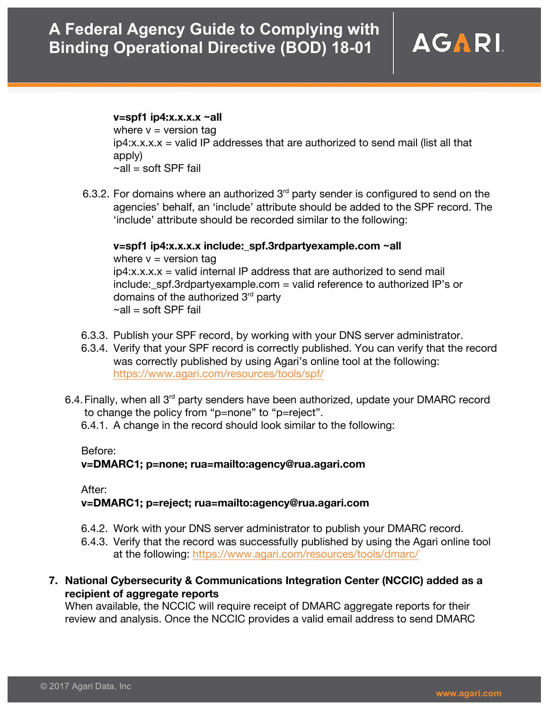

#### **v=spf1 ip4:x.x.x.x ~all**

where  $v =$  version tag  $ip4:x.x.x =$  valid IP addresses that are authorized to send mail (list all that apply)  $\sim$ all = soft SPF fail

6.3.2. For domains where an authorized  $3<sup>rd</sup>$  party sender is configured to send on the agencies' behalf, an 'include' attribute should be added to the SPF record. The 'include' attribute should be recorded similar to the following:

#### **v=spf1 ip4:x.x.x.x include:\_spf.3rdpartyexample.com ~all**

where  $v =$  version tag  $ip4:x.x.x = valid internal IP address that are authorized to send mail$  $include:$  spf.3rdpartyexample.com = valid reference to authorized IP's or domains of the authorized  $3<sup>rd</sup>$  party  $\sim$ all = soft SPF fail

- 6.3.3. Publish your SPF record, by working with your DNS server administrator.
- 6.3.4. Verify that your SPF record is correctly published. You can verify that the record was correctly published by using Agari's online tool at the following: https://www.agari.com/resources/tools/spf/
- 6.4. Finally, when all  $3<sup>rd</sup>$  party senders have been authorized, update your DMARC record to change the policy from "p=none" to "p=reject".

6.4.1. A change in the record should look similar to the following:

#### Before:

#### **v=DMARC1; p=none; rua=mailto:agency@rua.agari.com**

After:

#### **v=DMARC1; p=reject; rua=mailto:agency@rua.agari.com**

- 6.4.2. Work with your DNS server administrator to publish your DMARC record.
- 6.4.3. Verify that the record was successfully published by using the Agari online tool at the following: https://www.agari.com/resources/tools/dmarc/
- **7. National Cybersecurity & Communications Integration Center (NCCIC) added as a recipient of aggregate reports**

When available, the NCCIC will require receipt of DMARC aggregate reports for their review and analysis. Once the NCCIC provides a valid email address to send DMARC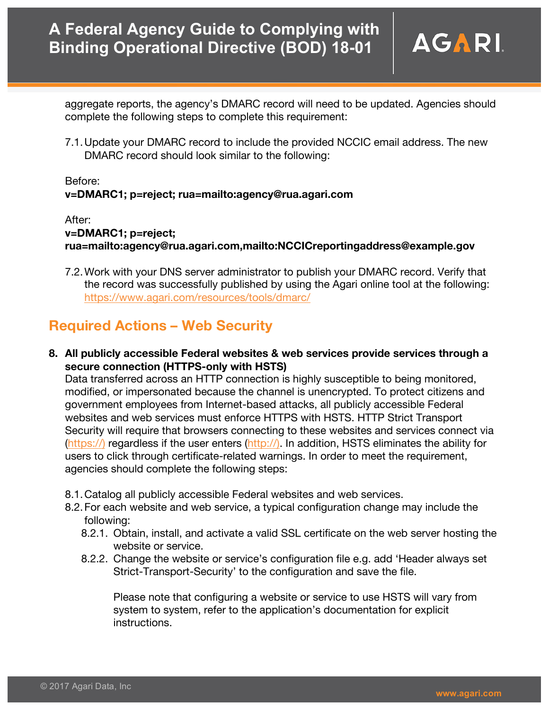aggregate reports, the agency's DMARC record will need to be updated. Agencies should complete the following steps to complete this requirement:

7.1.Update your DMARC record to include the provided NCCIC email address. The new DMARC record should look similar to the following:

#### Before: **v=DMARC1; p=reject; rua=mailto:agency@rua.agari.com**

#### After:

### **v=DMARC1; p=reject; rua=mailto:agency@rua.agari.com,mailto:NCCICreportingaddress@example.gov**

7.2.Work with your DNS server administrator to publish your DMARC record. Verify that the record was successfully published by using the Agari online tool at the following: https://www.agari.com/resources/tools/dmarc/

# **Required Actions – Web Security**

**8. All publicly accessible Federal websites & web services provide services through a secure connection (HTTPS-only with HSTS)**

Data transferred across an HTTP connection is highly susceptible to being monitored, modified, or impersonated because the channel is unencrypted. To protect citizens and government employees from Internet-based attacks, all publicly accessible Federal websites and web services must enforce HTTPS with HSTS. HTTP Strict Transport Security will require that browsers connecting to these websites and services connect via (https://) regardless if the user enters (http://). In addition, HSTS eliminates the ability for users to click through certificate-related warnings. In order to meet the requirement, agencies should complete the following steps:

- 8.1.Catalog all publicly accessible Federal websites and web services.
- 8.2.For each website and web service, a typical configuration change may include the following:
	- 8.2.1. Obtain, install, and activate a valid SSL certificate on the web server hosting the website or service.
	- 8.2.2. Change the website or service's configuration file e.g. add 'Header always set Strict-Transport-Security' to the configuration and save the file.

Please note that configuring a website or service to use HSTS will vary from system to system, refer to the application's documentation for explicit instructions.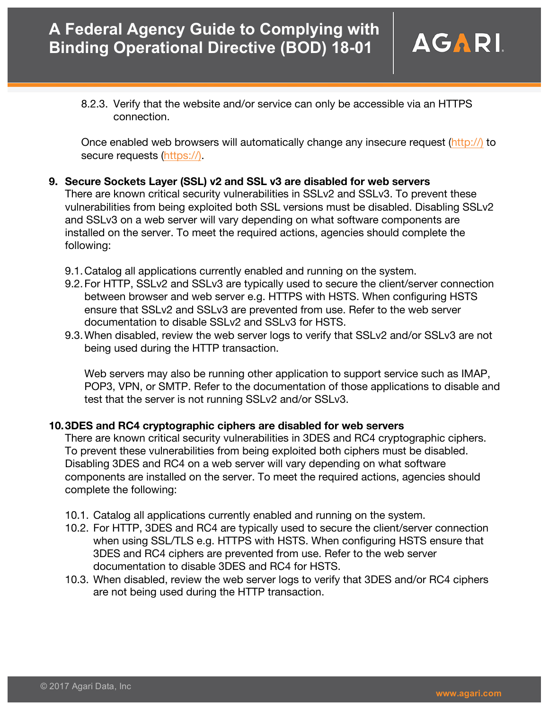8.2.3. Verify that the website and/or service can only be accessible via an HTTPS connection.

Once enabled web browsers will automatically change any insecure request (http://) to secure requests (https://).

**9. Secure Sockets Layer (SSL) v2 and SSL v3 are disabled for web servers**

There are known critical security vulnerabilities in SSLv2 and SSLv3. To prevent these vulnerabilities from being exploited both SSL versions must be disabled. Disabling SSLv2 and SSLv3 on a web server will vary depending on what software components are installed on the server. To meet the required actions, agencies should complete the following:

- 9.1.Catalog all applications currently enabled and running on the system.
- 9.2.For HTTP, SSLv2 and SSLv3 are typically used to secure the client/server connection between browser and web server e.g. HTTPS with HSTS. When configuring HSTS ensure that SSLv2 and SSLv3 are prevented from use. Refer to the web server documentation to disable SSLv2 and SSLv3 for HSTS.
- 9.3.When disabled, review the web server logs to verify that SSLv2 and/or SSLv3 are not being used during the HTTP transaction.

Web servers may also be running other application to support service such as IMAP, POP3, VPN, or SMTP. Refer to the documentation of those applications to disable and test that the server is not running SSLv2 and/or SSLv3.

### **10.3DES and RC4 cryptographic ciphers are disabled for web servers**

There are known critical security vulnerabilities in 3DES and RC4 cryptographic ciphers. To prevent these vulnerabilities from being exploited both ciphers must be disabled. Disabling 3DES and RC4 on a web server will vary depending on what software components are installed on the server. To meet the required actions, agencies should complete the following:

- 10.1. Catalog all applications currently enabled and running on the system.
- 10.2. For HTTP, 3DES and RC4 are typically used to secure the client/server connection when using SSL/TLS e.g. HTTPS with HSTS. When configuring HSTS ensure that 3DES and RC4 ciphers are prevented from use. Refer to the web server documentation to disable 3DES and RC4 for HSTS.
- 10.3. When disabled, review the web server logs to verify that 3DES and/or RC4 ciphers are not being used during the HTTP transaction.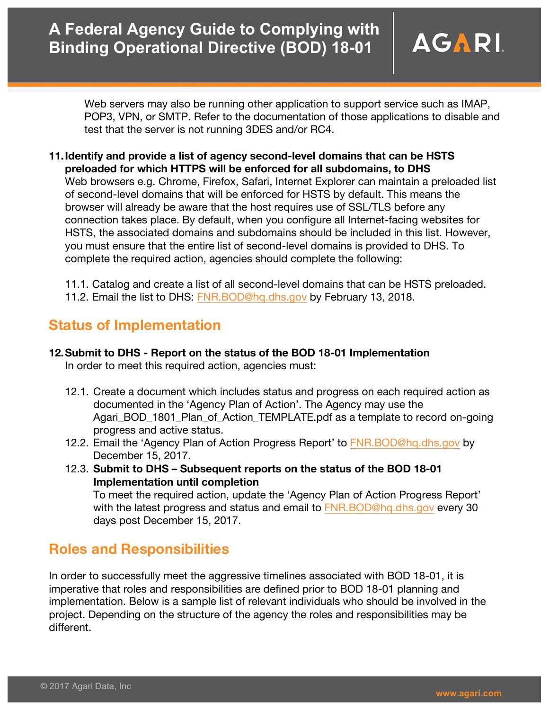

Web servers may also be running other application to support service such as IMAP, POP3, VPN, or SMTP. Refer to the documentation of those applications to disable and test that the server is not running 3DES and/or RC4.

**11.Identify and provide a list of agency second-level domains that can be HSTS preloaded for which HTTPS will be enforced for all subdomains, to DHS** Web browsers e.g. Chrome, Firefox, Safari, Internet Explorer can maintain a preloaded list of second-level domains that will be enforced for HSTS by default. This means the browser will already be aware that the host requires use of SSL/TLS before any connection takes place. By default, when you configure all Internet-facing websites for HSTS, the associated domains and subdomains should be included in this list. However, you must ensure that the entire list of second-level domains is provided to DHS. To complete the required action, agencies should complete the following:

11.1. Catalog and create a list of all second-level domains that can be HSTS preloaded. 11.2. Email the list to DHS: FNR.BOD@hq.dhs.gov by February 13, 2018.

## **Status of Implementation**

## **12.Submit to DHS - Report on the status of the BOD 18-01 Implementation**

In order to meet this required action, agencies must:

- 12.1. Create a document which includes status and progress on each required action as documented in the 'Agency Plan of Action'. The Agency may use the Agari\_BOD\_1801\_Plan\_of\_Action\_TEMPLATE.pdf as a template to record on-going progress and active status.
- 12.2. Email the 'Agency Plan of Action Progress Report' to FNR.BOD@hq.dhs.gov by December 15, 2017.
- 12.3. **Submit to DHS – Subsequent reports on the status of the BOD 18-01 Implementation until completion** To meet the required action, update the 'Agency Plan of Action Progress Report'

with the latest progress and status and email to FNR.BOD@hg.dhs.gov every 30 days post December 15, 2017.

## **Roles and Responsibilities**

In order to successfully meet the aggressive timelines associated with BOD 18-01, it is imperative that roles and responsibilities are defined prior to BOD 18-01 planning and implementation. Below is a sample list of relevant individuals who should be involved in the project. Depending on the structure of the agency the roles and responsibilities may be different.